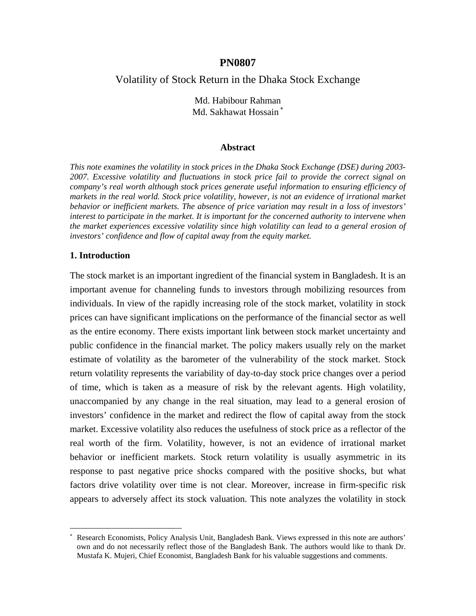### **PN0807**

# Volatility of Stock Return in the Dhaka Stock Exchange

Md. Habibour Rahman Md. Sakhawat Hossain<sup>\*</sup>

#### **Abstract**

*This note examines the volatility in stock prices in the Dhaka Stock Exchange (DSE) during 2003- 2007. Excessive volatility and fluctuations in stock price fail to provide the correct signal on company's real worth although stock prices generate useful information to ensuring efficiency of markets in the real world. Stock price volatility, however, is not an evidence of irrational market behavior or inefficient markets. The absence of price variation may result in a loss of investors' interest to participate in the market. It is important for the concerned authority to intervene when the market experiences excessive volatility since high volatility can lead to a general erosion of investors' confidence and flow of capital away from the equity market.*

#### **1. Introduction**

1

The stock market is an important ingredient of the financial system in Bangladesh. It is an important avenue for channeling funds to investors through mobilizing resources from individuals. In view of the rapidly increasing role of the stock market, volatility in stock prices can have significant implications on the performance of the financial sector as well as the entire economy. There exists important link between stock market uncertainty and public confidence in the financial market. The policy makers usually rely on the market estimate of volatility as the barometer of the vulnerability of the stock market. Stock return volatility represents the variability of day-to-day stock price changes over a period of time, which is taken as a measure of risk by the relevant agents. High volatility, unaccompanied by any change in the real situation, may lead to a general erosion of investors' confidence in the market and redirect the flow of capital away from the stock market. Excessive volatility also reduces the usefulness of stock price as a reflector of the real worth of the firm. Volatility, however, is not an evidence of irrational market behavior or inefficient markets. Stock return volatility is usually asymmetric in its response to past negative price shocks compared with the positive shocks, but what factors drive volatility over time is not clear. Moreover, increase in firm-specific risk appears to adversely affect its stock valuation. This note analyzes the volatility in stock

<sup>∗</sup> Research Economists, Policy Analysis Unit, Bangladesh Bank. Views expressed in this note are authors' own and do not necessarily reflect those of the Bangladesh Bank. The authors would like to thank Dr. Mustafa K. Mujeri, Chief Economist, Bangladesh Bank for his valuable suggestions and comments.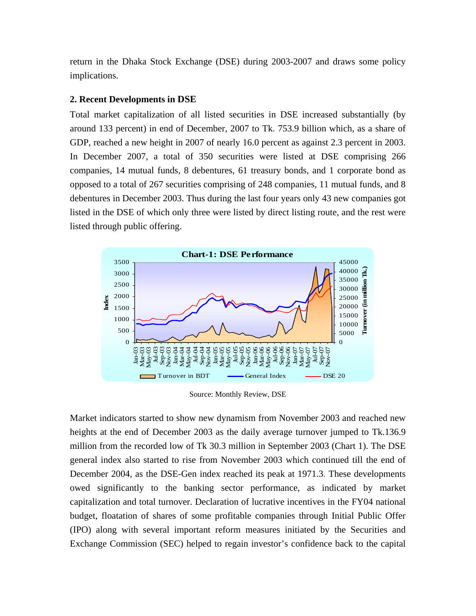return in the Dhaka Stock Exchange (DSE) during 2003-2007 and draws some policy implications.

# **2. Recent Developments in DSE**

Total market capitalization of all listed securities in DSE increased substantially (by around 133 percent) in end of December, 2007 to Tk. 753.9 billion which, as a share of GDP, reached a new height in 2007 of nearly 16.0 percent as against 2.3 percent in 2003. In December 2007, a total of 350 securities were listed at DSE comprising 266 companies, 14 mutual funds, 8 debentures, 61 treasury bonds, and 1 corporate bond as opposed to a total of 267 securities comprising of 248 companies, 11 mutual funds, and 8 debentures in December 2003. Thus during the last four years only 43 new companies got listed in the DSE of which only three were listed by direct listing route, and the rest were listed through public offering.



Source: Monthly Review, DSE

Market indicators started to show new dynamism from November 2003 and reached new heights at the end of December 2003 as the daily average turnover jumped to Tk.136.9 million from the recorded low of Tk 30.3 million in September 2003 (Chart 1). The DSE general index also started to rise from November 2003 which continued till the end of December 2004, as the DSE-Gen index reached its peak at 1971.3. These developments owed significantly to the banking sector performance, as indicated by market capitalization and total turnover. Declaration of lucrative incentives in the FY04 national budget, floatation of shares of some profitable companies through Initial Public Offer (IPO) along with several important reform measures initiated by the Securities and Exchange Commission (SEC) helped to regain investor's confidence back to the capital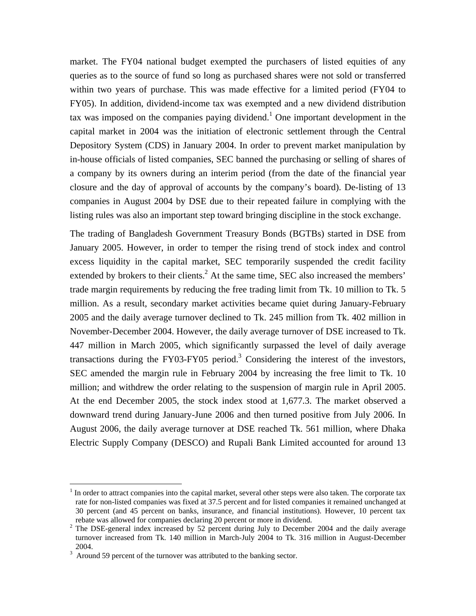market. The FY04 national budget exempted the purchasers of listed equities of any queries as to the source of fund so long as purchased shares were not sold or transferred within two years of purchase. This was made effective for a limited period (FY04 to FY05). In addition, dividend-income tax was exempted and a new dividend distribution tax was imposed on the companies paying dividend.<sup>1</sup> One important development in the capital market in 2004 was the initiation of electronic settlement through the Central Depository System (CDS) in January 2004. In order to prevent market manipulation by in-house officials of listed companies, SEC banned the purchasing or selling of shares of a company by its owners during an interim period (from the date of the financial year closure and the day of approval of accounts by the company's board). De-listing of 13 companies in August 2004 by DSE due to their repeated failure in complying with the listing rules was also an important step toward bringing discipline in the stock exchange.

The trading of Bangladesh Government Treasury Bonds (BGTBs) started in DSE from January 2005. However, in order to temper the rising trend of stock index and control excess liquidity in the capital market, SEC temporarily suspended the credit facility extended by brokers to their clients. $<sup>2</sup>$  At the same time, SEC also increased the members'</sup> trade margin requirements by reducing the free trading limit from Tk. 10 million to Tk. 5 million. As a result, secondary market activities became quiet during January-February 2005 and the daily average turnover declined to Tk. 245 million from Tk. 402 million in November-December 2004. However, the daily average turnover of DSE increased to Tk. 447 million in March 2005, which significantly surpassed the level of daily average transactions during the FY03-FY05 period.<sup>3</sup> Considering the interest of the investors, SEC amended the margin rule in February 2004 by increasing the free limit to Tk. 10 million; and withdrew the order relating to the suspension of margin rule in April 2005. At the end December 2005, the stock index stood at 1,677.3. The market observed a downward trend during January-June 2006 and then turned positive from July 2006. In August 2006, the daily average turnover at DSE reached Tk. 561 million, where Dhaka Electric Supply Company (DESCO) and Rupali Bank Limited accounted for around 13

 $\overline{a}$ 

<sup>1</sup> In order to attract companies into the capital market, several other steps were also taken. The corporate tax rate for non-listed companies was fixed at 37.5 percent and for listed companies it remained unchanged at 30 percent (and 45 percent on banks, insurance, and financial institutions). However, 10 percent tax rebate was allowed for companies declaring 20 percent or more in dividend.<br><sup>2</sup> The DSE-general index increased by 52 percent during July to December

The DSE-general index increased by 52 percent during July to December 2004 and the daily average turnover increased from Tk. 140 million in March-July 2004 to Tk. 316 million in August-December 2004.<br> $3$  Around 59 percent of the turnover was attributed to the banking sector.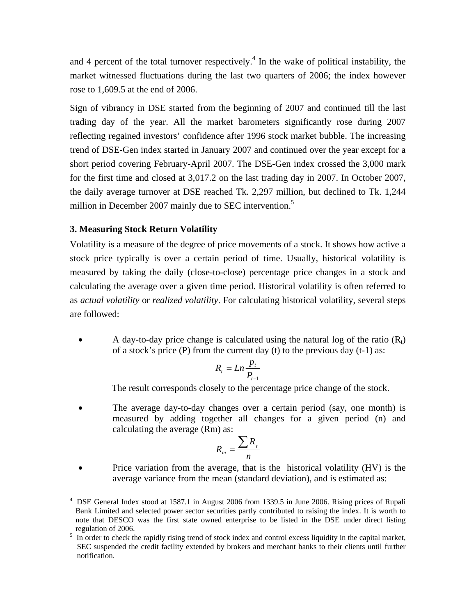and 4 percent of the total turnover respectively.<sup>4</sup> In the wake of political instability, the market witnessed fluctuations during the last two quarters of 2006; the index however rose to 1,609.5 at the end of 2006.

Sign of vibrancy in DSE started from the beginning of 2007 and continued till the last trading day of the year. All the market barometers significantly rose during 2007 reflecting regained investors' confidence after 1996 stock market bubble. The increasing trend of DSE-Gen index started in January 2007 and continued over the year except for a short period covering February-April 2007. The DSE-Gen index crossed the 3,000 mark for the first time and closed at 3,017.2 on the last trading day in 2007. In October 2007, the daily average turnover at DSE reached Tk. 2,297 million, but declined to Tk. 1,244 million in December 2007 mainly due to SEC intervention.<sup>5</sup>

#### **3. Measuring Stock Return Volatility**

<u>.</u>

Volatility is a measure of the degree of price movements of a stock. It shows how active a stock price typically is over a certain period of time. Usually, historical volatility is measured by taking the daily (close-to-close) percentage price changes in a stock and calculating the average over a given time period. Historical volatility is often referred to as *actual volatility* or *realized volatility*. For calculating historical volatility, several steps are followed:

A day-to-day price change is calculated using the natural log of the ratio  $(R<sub>t</sub>)$ of a stock's price (P) from the current day (t) to the previous day  $(t-1)$  as:

$$
R_t = Ln \frac{p_t}{P_{t-1}}
$$

The result corresponds closely to the percentage price change of the stock.

• The average day-to-day changes over a certain period (say, one month) is measured by adding together all changes for a given period (n) and calculating the average (Rm) as:

$$
R_m = \frac{\sum R_{t}}{n}
$$

• Price variation from the average, that is the historical volatility (HV) is the average variance from the mean (standard deviation), and is estimated as:

<sup>4</sup> DSE General Index stood at 1587.1 in August 2006 from 1339.5 in June 2006. Rising prices of Rupali Bank Limited and selected power sector securities partly contributed to raising the index. It is worth to note that DESCO was the first state owned enterprise to be listed in the DSE under direct listing <sup>5</sup> In order to check the rapidly rising trend of stock index and control excess liquidity in the capital market,

SEC suspended the credit facility extended by brokers and merchant banks to their clients until further notification.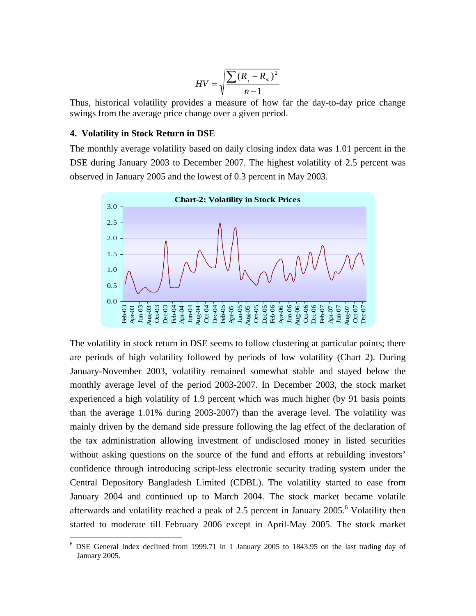$$
HV = \sqrt{\frac{\sum (R_{i} - R_{m})^{2}}{n-1}}
$$

Thus, historical volatility provides a measure of how far the day-to-day price change swings from the average price change over a given period.

#### **4. Volatility in Stock Return in DSE**

 $\overline{a}$ 

The monthly average volatility based on daily closing index data was 1.01 percent in the DSE during January 2003 to December 2007. The highest volatility of 2.5 percent was observed in January 2005 and the lowest of 0.3 percent in May 2003.



The volatility in stock return in DSE seems to follow clustering at particular points; there are periods of high volatility followed by periods of low volatility (Chart 2). During January-November 2003, volatility remained somewhat stable and stayed below the monthly average level of the period 2003-2007. In December 2003, the stock market experienced a high volatility of 1.9 percent which was much higher (by 91 basis points than the average 1.01% during 2003-2007) than the average level. The volatility was mainly driven by the demand side pressure following the lag effect of the declaration of the tax administration allowing investment of undisclosed money in listed securities without asking questions on the source of the fund and efforts at rebuilding investors' confidence through introducing script-less electronic security trading system under the Central Depository Bangladesh Limited (CDBL). The volatility started to ease from January 2004 and continued up to March 2004. The stock market became volatile afterwards and volatility reached a peak of 2.5 percent in January  $2005.$ <sup>6</sup> Volatility then started to moderate till February 2006 except in April-May 2005. The stock market

<sup>&</sup>lt;sup>6</sup> DSE General Index declined from 1999.71 in 1 January 2005 to 1843.95 on the last trading day of January 2005.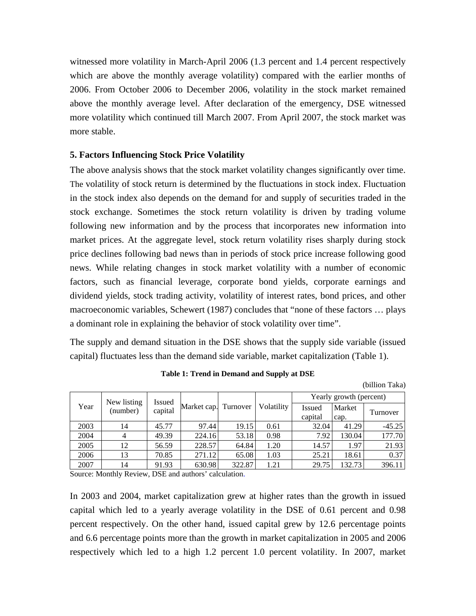witnessed more volatility in March-April 2006 (1.3 percent and 1.4 percent respectively which are above the monthly average volatility) compared with the earlier months of 2006. From October 2006 to December 2006, volatility in the stock market remained above the monthly average level. After declaration of the emergency, DSE witnessed more volatility which continued till March 2007. From April 2007, the stock market was more stable.

# **5. Factors Influencing Stock Price Volatility**

The above analysis shows that the stock market volatility changes significantly over time. The volatility of stock return is determined by the fluctuations in stock index. Fluctuation in the stock index also depends on the demand for and supply of securities traded in the stock exchange. Sometimes the stock return volatility is driven by trading volume following new information and by the process that incorporates new information into market prices. At the aggregate level, stock return volatility rises sharply during stock price declines following bad news than in periods of stock price increase following good news. While relating changes in stock market volatility with a number of economic factors, such as financial leverage, corporate bond yields, corporate earnings and dividend yields, stock trading activity, volatility of interest rates, bond prices, and other macroeconomic variables, Schewert (1987) concludes that "none of these factors … plays a dominant role in explaining the behavior of stock volatility over time".

The supply and demand situation in the DSE shows that the supply side variable (issued capital) fluctuates less than the demand side variable, market capitalization (Table 1).

| Year | New listing<br>(number) | <b>Issued</b><br>capital | Market cap. Turnover |        | Volatility | Yearly growth (percent) |        |          |
|------|-------------------------|--------------------------|----------------------|--------|------------|-------------------------|--------|----------|
|      |                         |                          |                      |        |            | Issued                  | Market | Turnover |
|      |                         |                          |                      |        |            | capital                 | cap.   |          |
| 2003 | 14                      | 45.77                    | 97.44                | 19.15  | 0.61       | 32.04                   | 41.29  | $-45.25$ |
| 2004 | 4                       | 49.39                    | 224.16               | 53.18  | 0.98       | 7.92                    | 130.04 | 177.70   |
| 2005 | 12                      | 56.59                    | 228.57               | 64.84  | 1.20       | 14.57                   | 1.97   | 21.93    |
| 2006 | 13                      | 70.85                    | 271.12               | 65.08  | 1.03       | 25.21                   | 18.61  | 0.37     |
| 2007 | 14                      | 91.93                    | 630.98               | 322.87 | 1.21       | 29.75                   | 132.73 | 396.11   |

**Table 1: Trend in Demand and Supply at DSE** 

(billion Taka)

Source: Monthly Review, DSE and authors' calculation.

In 2003 and 2004, market capitalization grew at higher rates than the growth in issued capital which led to a yearly average volatility in the DSE of 0.61 percent and 0.98 percent respectively. On the other hand, issued capital grew by 12.6 percentage points and 6.6 percentage points more than the growth in market capitalization in 2005 and 2006 respectively which led to a high 1.2 percent 1.0 percent volatility. In 2007, market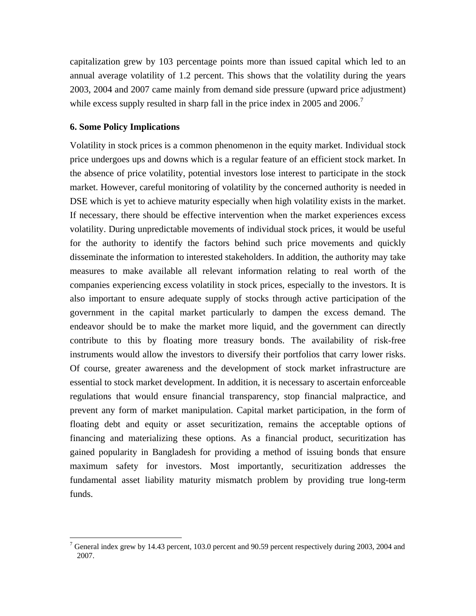capitalization grew by 103 percentage points more than issued capital which led to an annual average volatility of 1.2 percent. This shows that the volatility during the years 2003, 2004 and 2007 came mainly from demand side pressure (upward price adjustment) while excess supply resulted in sharp fall in the price index in 2005 and 2006.<sup>7</sup>

# **6. Some Policy Implications**

1

Volatility in stock prices is a common phenomenon in the equity market. Individual stock price undergoes ups and downs which is a regular feature of an efficient stock market. In the absence of price volatility, potential investors lose interest to participate in the stock market. However, careful monitoring of volatility by the concerned authority is needed in DSE which is yet to achieve maturity especially when high volatility exists in the market. If necessary, there should be effective intervention when the market experiences excess volatility. During unpredictable movements of individual stock prices, it would be useful for the authority to identify the factors behind such price movements and quickly disseminate the information to interested stakeholders. In addition, the authority may take measures to make available all relevant information relating to real worth of the companies experiencing excess volatility in stock prices, especially to the investors. It is also important to ensure adequate supply of stocks through active participation of the government in the capital market particularly to dampen the excess demand. The endeavor should be to make the market more liquid, and the government can directly contribute to this by floating more treasury bonds. The availability of risk-free instruments would allow the investors to diversify their portfolios that carry lower risks. Of course, greater awareness and the development of stock market infrastructure are essential to stock market development. In addition, it is necessary to ascertain enforceable regulations that would ensure financial transparency, stop financial malpractice, and prevent any form of market manipulation. Capital market participation, in the form of floating debt and equity or asset securitization, remains the acceptable options of financing and materializing these options. As a financial product, securitization has gained popularity in Bangladesh for providing a method of issuing bonds that ensure maximum safety for investors. Most importantly, securitization addresses the fundamental asset liability maturity mismatch problem by providing true long-term funds.

<sup>&</sup>lt;sup>7</sup> General index grew by 14.43 percent, 103.0 percent and 90.59 percent respectively during 2003, 2004 and 2007.